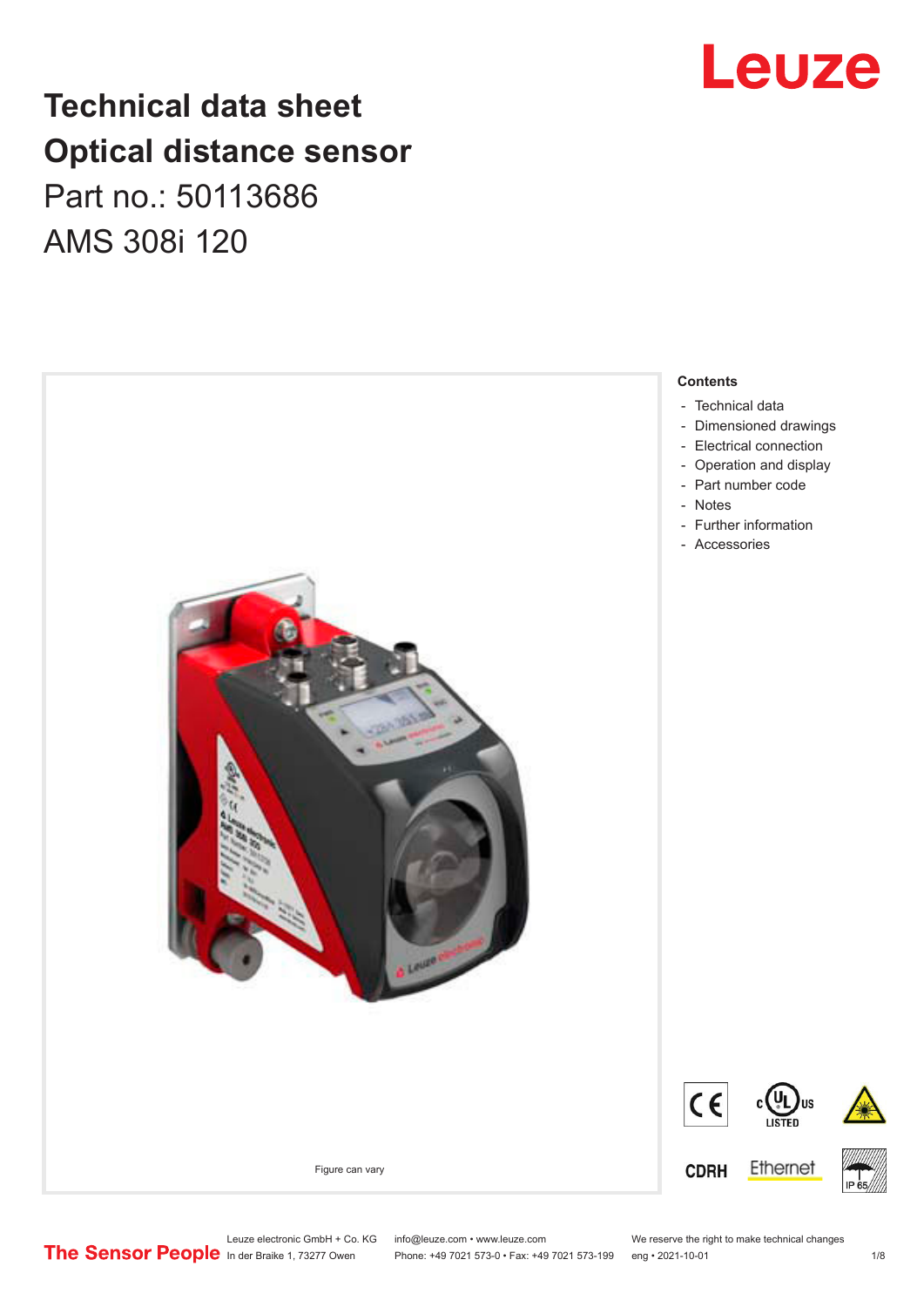## **Technical data sheet Optical distance sensor** Part no.: 50113686 AMS 308i 120





Leuze electronic GmbH + Co. KG info@leuze.com • www.leuze.com We reserve the right to make technical changes<br>
The Sensor People in der Braike 1, 73277 Owen Phone: +49 7021 573-0 • Fax: +49 7021 573-199 eng • 2021-10-01

Phone: +49 7021 573-0 • Fax: +49 7021 573-199 eng • 2021-10-01 1 2021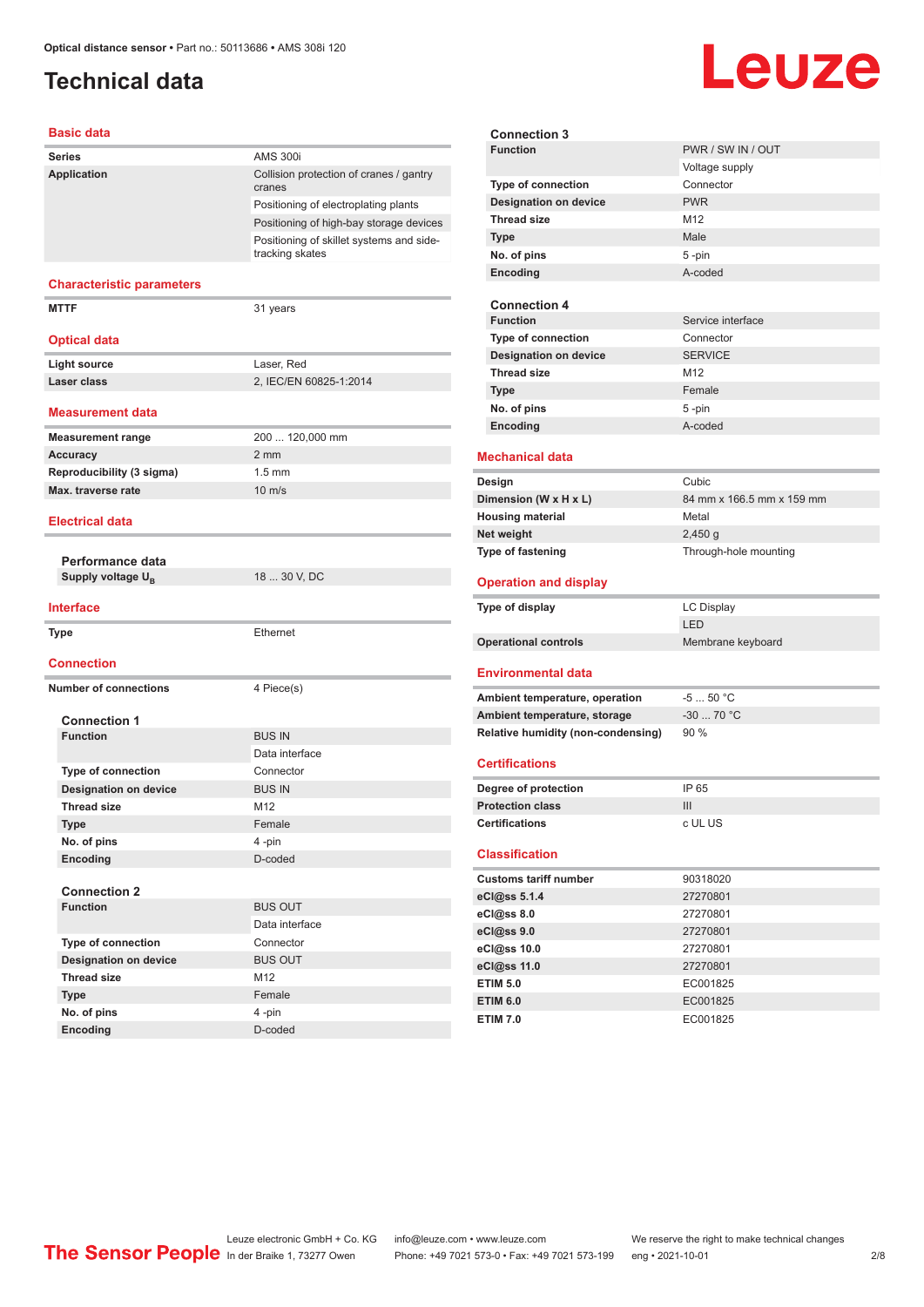### <span id="page-1-0"></span>**Technical data**

#### **Basic data**

| <b>Series</b>                                     | <b>AMS 300i</b>                                             |  |
|---------------------------------------------------|-------------------------------------------------------------|--|
| Application                                       | Collision protection of cranes / gantry                     |  |
|                                                   | cranes                                                      |  |
|                                                   | Positioning of electroplating plants                        |  |
|                                                   | Positioning of high-bay storage devices                     |  |
|                                                   | Positioning of skillet systems and side-<br>tracking skates |  |
| <b>Characteristic parameters</b>                  |                                                             |  |
| <b>MTTF</b>                                       | 31 years                                                    |  |
| <b>Optical data</b>                               |                                                             |  |
| <b>Light source</b>                               | Laser, Red                                                  |  |
| Laser class                                       | 2, IEC/EN 60825-1:2014                                      |  |
| <b>Measurement data</b>                           |                                                             |  |
| <b>Measurement range</b>                          | 200  120,000 mm                                             |  |
| <b>Accuracy</b>                                   | $2 \, \text{mm}$                                            |  |
| Reproducibility (3 sigma)                         | $1.5$ mm                                                    |  |
| Max. traverse rate                                | $10 \text{ m/s}$                                            |  |
| <b>Electrical data</b>                            |                                                             |  |
|                                                   |                                                             |  |
| Performance data<br>Supply voltage U <sub>B</sub> | 18  30 V, DC                                                |  |
|                                                   |                                                             |  |
| <b>Interface</b>                                  |                                                             |  |
| <b>Type</b>                                       | Ethernet                                                    |  |
| <b>Connection</b>                                 |                                                             |  |
| <b>Number of connections</b>                      | 4 Piece(s)                                                  |  |
| <b>Connection 1</b>                               |                                                             |  |
| <b>Function</b>                                   | <b>BUS IN</b>                                               |  |
|                                                   | Data interface                                              |  |
| <b>Type of connection</b>                         | Connector                                                   |  |
| <b>Designation on device</b>                      | <b>BUS IN</b>                                               |  |
| <b>Thread size</b>                                | M12                                                         |  |
| <b>Type</b>                                       | Female                                                      |  |
| No. of pins                                       | 4-pin                                                       |  |
| Encoding                                          | D-coded                                                     |  |
|                                                   |                                                             |  |
| <b>Connection 2</b>                               |                                                             |  |
| <b>Function</b>                                   | <b>BUS OUT</b>                                              |  |
|                                                   | Data interface                                              |  |
| Type of connection                                | Connector                                                   |  |
| <b>Designation on device</b>                      | <b>BUS OUT</b>                                              |  |
| <b>Thread size</b>                                | M12                                                         |  |
| <b>Type</b>                                       | Female                                                      |  |
|                                                   |                                                             |  |
| No. of pins<br>Encoding                           | 4-pin<br>D-coded                                            |  |

| <b>Connection 3</b><br><b>Function</b> |                                    | PWR / SW IN / OUT         |
|----------------------------------------|------------------------------------|---------------------------|
|                                        |                                    |                           |
|                                        |                                    | Voltage supply            |
| Type of connection                     |                                    | Connector                 |
| <b>Designation on device</b>           |                                    | <b>PWR</b>                |
| <b>Thread size</b>                     |                                    | M12                       |
| <b>Type</b>                            |                                    | Male                      |
| No. of pins                            |                                    | $5 - pin$                 |
| Encoding                               |                                    | A-coded                   |
|                                        |                                    |                           |
| <b>Connection 4</b>                    |                                    |                           |
| <b>Function</b>                        |                                    | Service interface         |
| Type of connection                     |                                    | Connector                 |
| <b>Designation on device</b>           |                                    | <b>SERVICE</b>            |
| <b>Thread size</b>                     |                                    | M <sub>12</sub>           |
| <b>Type</b>                            |                                    | Female                    |
| No. of pins                            |                                    | 5-pin                     |
| Encoding                               |                                    | A-coded                   |
|                                        |                                    |                           |
| <b>Mechanical data</b>                 |                                    |                           |
| Design                                 |                                    | Cubic                     |
| Dimension (W x H x L)                  |                                    | 84 mm x 166.5 mm x 159 mm |
| <b>Housing material</b>                |                                    | Metal                     |
| Net weight                             |                                    | 2,450q                    |
| Type of fastening                      |                                    | Through-hole mounting     |
|                                        |                                    |                           |
|                                        |                                    |                           |
| <b>Operation and display</b>           |                                    |                           |
| Type of display                        |                                    | <b>LC Display</b>         |
|                                        |                                    | LED                       |
| <b>Operational controls</b>            |                                    | Membrane keyboard         |
|                                        |                                    |                           |
| <b>Environmental data</b>              |                                    |                           |
|                                        | Ambient temperature, operation     | $-550 °C$                 |
| Ambient temperature, storage           |                                    | $-30$ 70 °C               |
|                                        | Relative humidity (non-condensing) | 90 %                      |
|                                        |                                    |                           |
| <b>Certifications</b>                  |                                    |                           |
| Degree of protection                   |                                    | IP 65                     |
| <b>Protection class</b>                |                                    | III                       |
| <b>Certifications</b>                  |                                    | c UL US                   |
|                                        |                                    |                           |
| <b>Classification</b>                  |                                    |                           |
| <b>Customs tariff number</b>           |                                    | 90318020                  |
|                                        |                                    | 27270801                  |
| eCl@ss 5.1.4                           |                                    | 27270801                  |
| eCl@ss 8.0                             |                                    |                           |
| eCl@ss 9.0                             |                                    | 27270801                  |
| eCl@ss 10.0                            |                                    | 27270801                  |
| eCl@ss 11.0                            |                                    | 27270801                  |
| <b>ETIM 5.0</b><br><b>ETIM 6.0</b>     |                                    | EC001825<br>EC001825      |

Leuze

**ETIM 7.0** EC001825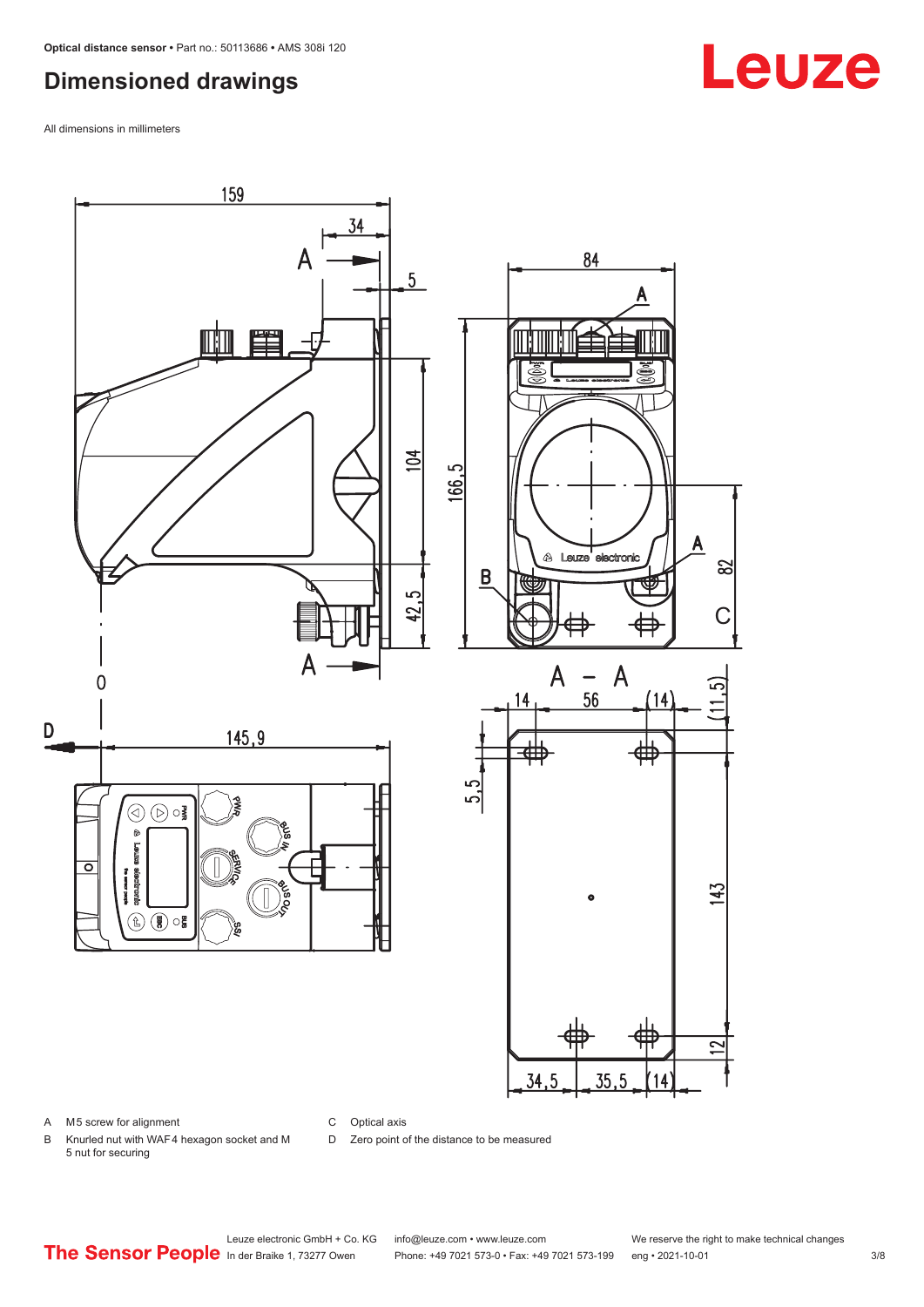#### <span id="page-2-0"></span>**Dimensioned drawings**

All dimensions in millimeters



A M5 screw for alignment

C Optical axis

D Zero point of the distance to be measured

B Knurled nut with WAF 4 hexagon socket and M 5 nut for securing

## **Leuze**

Leuze electronic GmbH + Co. KG info@leuze.com • www.leuze.com We reserve the right to make technical changes<br>
The Sensor People in der Braike 1, 73277 Owen Phone: +49 7021 573-0 • Fax: +49 7021 573-199 eng • 2021-10-01

Phone: +49 7021 573-0 • Fax: +49 7021 573-199 eng • 2021-10-01 3/8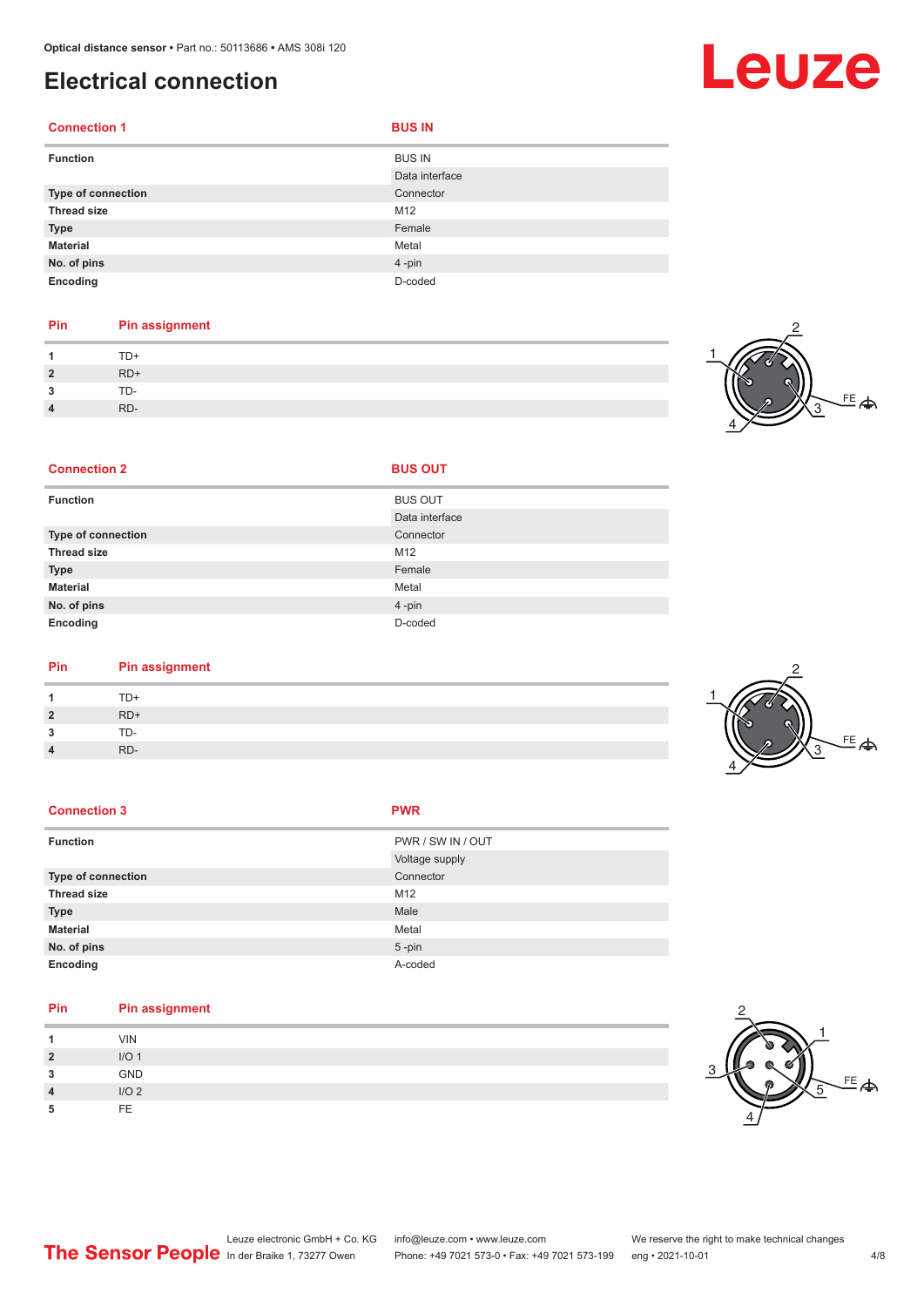### <span id="page-3-0"></span>**Electrical connection**

| <b>Connection 1</b> | <b>BUS IN</b>                   |
|---------------------|---------------------------------|
| <b>Function</b>     | <b>BUS IN</b><br>Data interface |
| Type of connection  | Connector                       |
| <b>Thread size</b>  | M12                             |
| <b>Type</b>         | Female                          |
| <b>Material</b>     | Metal                           |
| No. of pins         | 4-pin                           |
| Encoding            | D-coded                         |

#### **Pin Pin assignment** 1 TD+<br>2 RD+ **2** RD+ **3** TD-**4** RD-

**Connection 2 BUS OUT** 



| <b>Function</b>    | <b>BUS OUT</b> |
|--------------------|----------------|
|                    | Data interface |
| Type of connection | Connector      |
| <b>Thread size</b> | M12            |
| <b>Type</b>        | Female         |
| <b>Material</b>    | Metal          |
| No. of pins        | 4-pin          |
| Encoding           | D-coded        |

| Pin | <b>Pin assignment</b> |
|-----|-----------------------|
|     | TD+                   |

| 1              | TD+   |
|----------------|-------|
| $\overline{2}$ | $RD+$ |
| 3              | TD-   |
| $\overline{4}$ | RD-   |

| <b>Connection 3</b> | <b>PWR</b> |
|---------------------|------------|
|                     |            |

| <b>Function</b>    | PWR / SW IN / OUT |
|--------------------|-------------------|
|                    | Voltage supply    |
| Type of connection | Connector         |
| <b>Thread size</b> | M12               |
| <b>Type</b>        | Male              |
| <b>Material</b>    | Metal             |
| No. of pins        | $5 - pin$         |
| Encoding           | A-coded           |

| Pin            | Pin assignment   |
|----------------|------------------|
|                | <b>VIN</b>       |
| $\overline{2}$ | I/O <sub>1</sub> |
| 3              | <b>GND</b>       |
| $\overline{4}$ | I/O <sub>2</sub> |
| 5              | FE.              |



# Leuze

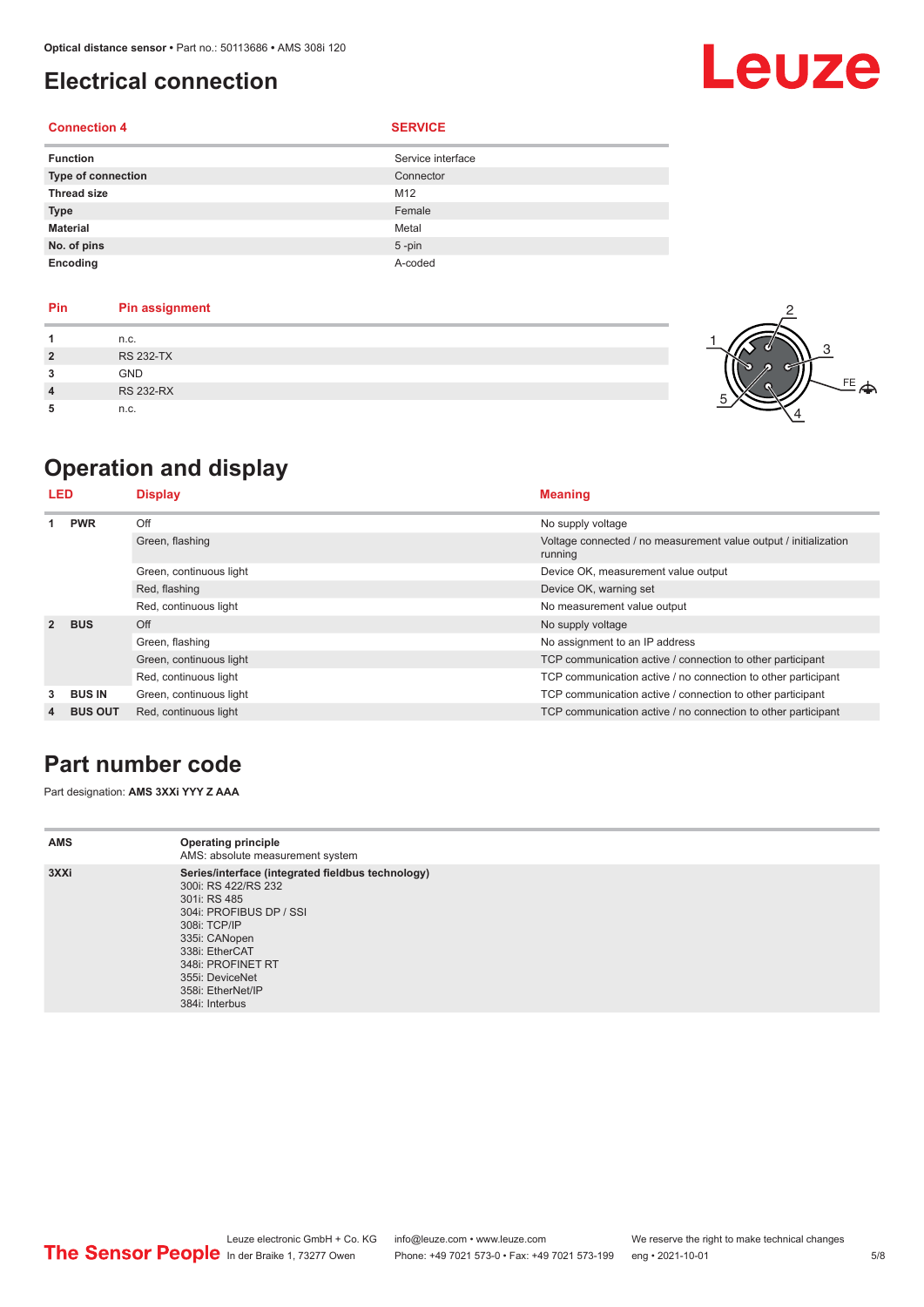### <span id="page-4-0"></span>**Electrical connection**

#### **Connection 4 SERVICE**

| <b>Function</b>    | Service interface |
|--------------------|-------------------|
| Type of connection | Connector         |
| <b>Thread size</b> | M12               |
| <b>Type</b>        | Female            |
| <b>Material</b>    | Metal             |
| No. of pins        | $5 - pin$         |
| Encoding           | A-coded           |

| <b>Pin</b>     | <b>Pin assignment</b> |
|----------------|-----------------------|
|                | n.c.                  |
| $\overline{2}$ | <b>RS 232-TX</b>      |
| 3              | <b>GND</b>            |
| 4              | <b>RS 232-RX</b>      |
|                | n.c.                  |



Leuze

## **Operation and display**

| LED            |                | <b>Display</b>          | <b>Meaning</b>                                                              |
|----------------|----------------|-------------------------|-----------------------------------------------------------------------------|
|                | <b>PWR</b>     | Off                     | No supply voltage                                                           |
|                |                | Green, flashing         | Voltage connected / no measurement value output / initialization<br>running |
|                |                | Green, continuous light | Device OK, measurement value output                                         |
|                |                | Red, flashing           | Device OK, warning set                                                      |
|                |                | Red, continuous light   | No measurement value output                                                 |
| $\overline{2}$ | <b>BUS</b>     | Off                     | No supply voltage                                                           |
|                |                | Green, flashing         | No assignment to an IP address                                              |
|                |                | Green, continuous light | TCP communication active / connection to other participant                  |
|                |                | Red, continuous light   | TCP communication active / no connection to other participant               |
| 3              | <b>BUS IN</b>  | Green, continuous light | TCP communication active / connection to other participant                  |
| 4              | <b>BUS OUT</b> | Red, continuous light   | TCP communication active / no connection to other participant               |

#### **Part number code**

Part designation: **AMS 3XXi YYY Z AAA**

| <b>AMS</b> | <b>Operating principle</b><br>AMS: absolute measurement system                                                                                                                                                                                        |
|------------|-------------------------------------------------------------------------------------------------------------------------------------------------------------------------------------------------------------------------------------------------------|
| 3XXi       | Series/interface (integrated fieldbus technology)<br>300i: RS 422/RS 232<br>301i: RS 485<br>304i: PROFIBUS DP / SSI<br>308i: TCP/IP<br>335i: CANopen<br>338i: EtherCAT<br>348i: PROFINET RT<br>355i: DeviceNet<br>358i: EtherNet/IP<br>384i: Interbus |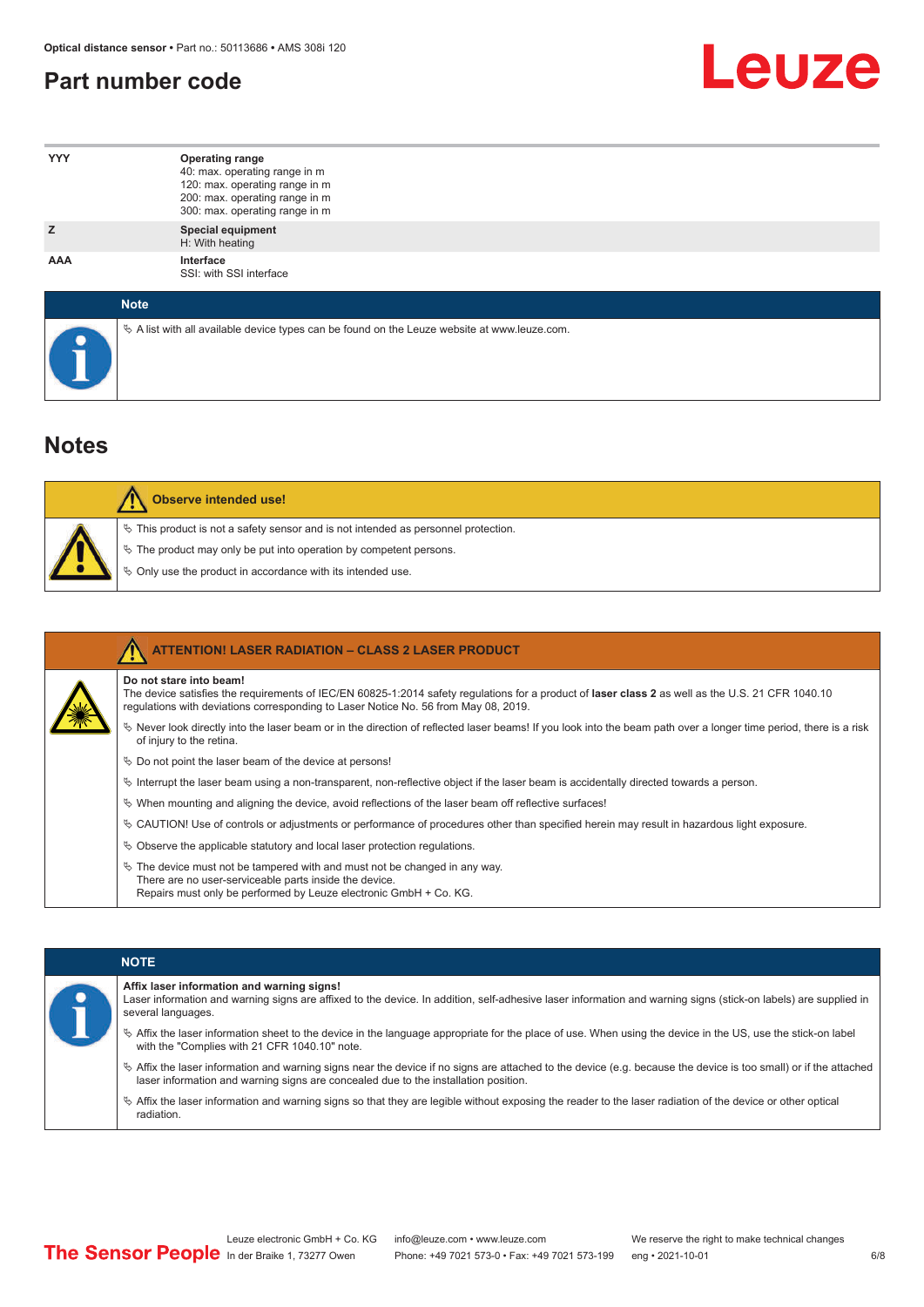#### <span id="page-5-0"></span>**Part number code**



| <b>YYY</b>  | <b>Operating range</b><br>40: max. operating range in m<br>120: max. operating range in m<br>200: max. operating range in m<br>300: max. operating range in m |
|-------------|---------------------------------------------------------------------------------------------------------------------------------------------------------------|
| z           | <b>Special equipment</b><br>H: With heating                                                                                                                   |
| AAA         | Interface<br>SSI: with SSI interface                                                                                                                          |
| <b>Note</b> |                                                                                                                                                               |

 $\%$  A list with all available device types can be found on the Leuze website at www.leuze.com.

#### **Notes**

| Observe intended use!                                                                                                                                                                                                      |
|----------------------------------------------------------------------------------------------------------------------------------------------------------------------------------------------------------------------------|
| $\%$ This product is not a safety sensor and is not intended as personnel protection.<br>§ The product may only be put into operation by competent persons.<br>♦ Only use the product in accordance with its intended use. |

|  | <b>ATTENTION! LASER RADIATION - CLASS 2 LASER PRODUCT</b>                                                                                                                                                                                                           |
|--|---------------------------------------------------------------------------------------------------------------------------------------------------------------------------------------------------------------------------------------------------------------------|
|  | Do not stare into beam!<br>The device satisfies the requirements of IEC/EN 60825-1:2014 safety requlations for a product of laser class 2 as well as the U.S. 21 CFR 1040.10<br>requlations with deviations corresponding to Laser Notice No. 56 from May 08, 2019. |
|  | Never look directly into the laser beam or in the direction of reflected laser beams! If you look into the beam path over a longer time period, there is a risk<br>of injury to the retina.                                                                         |
|  | $\%$ Do not point the laser beam of the device at persons!                                                                                                                                                                                                          |
|  | $\%$ Interrupt the laser beam using a non-transparent, non-reflective object if the laser beam is accidentally directed towards a person.                                                                                                                           |
|  | $\%$ When mounting and aligning the device, avoid reflections of the laser beam off reflective surfaces!                                                                                                                                                            |
|  | Ve CAUTION! Use of controls or adjustments or performance of procedures other than specified herein may result in hazardous light exposure.                                                                                                                         |
|  | $\&$ Observe the applicable statutory and local laser protection requisitions.                                                                                                                                                                                      |
|  | $\ddot{\varphi}$ The device must not be tampered with and must not be changed in any way.<br>There are no user-serviceable parts inside the device.<br>Repairs must only be performed by Leuze electronic GmbH + Co. KG.                                            |

#### **NOTE**

#### **Affix laser information and warning signs!**

| Laser information and warning signs are affixed to the device. In addition, self-adhesive laser information and warning signs (stick-on labels) are supplied in |
|-----------------------------------------------------------------------------------------------------------------------------------------------------------------|
| several languages.                                                                                                                                              |

- ª Affix the laser information sheet to the device in the language appropriate for the place of use. When using the device in the US, use the stick-on label with the "Complies with 21 CFR 1040.10" note.
- ª Affix the laser information and warning signs near the device if no signs are attached to the device (e.g. because the device is too small) or if the attached laser information and warning signs are concealed due to the installation position.
- ª Affix the laser information and warning signs so that they are legible without exposing the reader to the laser radiation of the device or other optical radiation.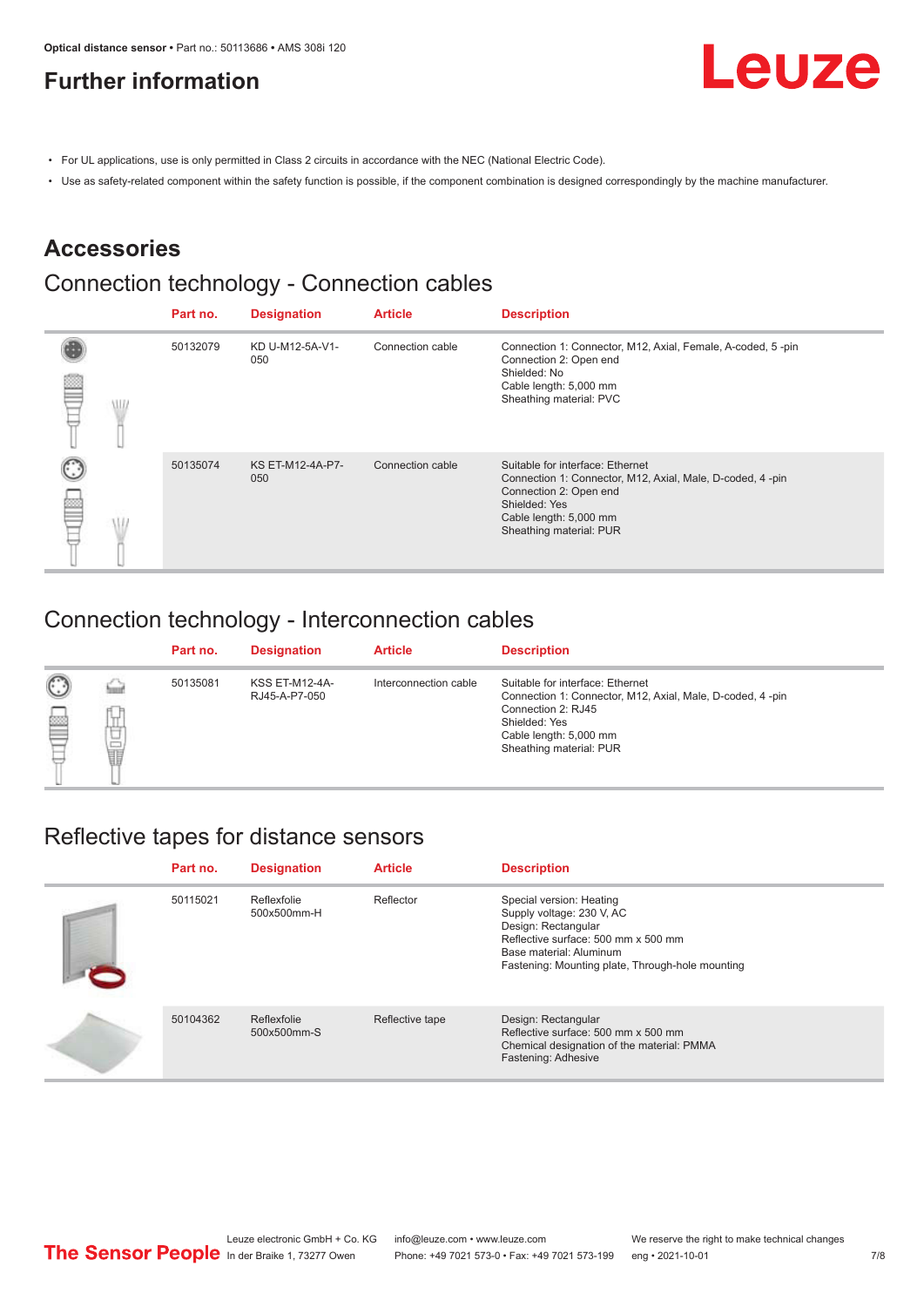### <span id="page-6-0"></span>**Further information**



- For UL applications, use is only permitted in Class 2 circuits in accordance with the NEC (National Electric Code).
- Use as safety-related component within the safety function is possible, if the component combination is designed correspondingly by the machine manufacturer.

#### **Accessories**

### Connection technology - Connection cables

|  | Part no. | <b>Designation</b>      | <b>Article</b>   | <b>Description</b>                                                                                                                                                                            |
|--|----------|-------------------------|------------------|-----------------------------------------------------------------------------------------------------------------------------------------------------------------------------------------------|
|  | 50132079 | KD U-M12-5A-V1-<br>050  | Connection cable | Connection 1: Connector, M12, Axial, Female, A-coded, 5-pin<br>Connection 2: Open end<br>Shielded: No<br>Cable length: 5,000 mm<br>Sheathing material: PVC                                    |
|  | 50135074 | KS ET-M12-4A-P7-<br>050 | Connection cable | Suitable for interface: Ethernet<br>Connection 1: Connector, M12, Axial, Male, D-coded, 4-pin<br>Connection 2: Open end<br>Shielded: Yes<br>Cable length: 5,000 mm<br>Sheathing material: PUR |

#### Connection technology - Interconnection cables

|                   |             | Part no. | <b>Designation</b>                     | <b>Article</b>        | <b>Description</b>                                                                                                                                                                        |
|-------------------|-------------|----------|----------------------------------------|-----------------------|-------------------------------------------------------------------------------------------------------------------------------------------------------------------------------------------|
| $\mathbb{C}$<br>≝ | щ<br>⊔<br>Ī | 50135081 | <b>KSS ET-M12-4A-</b><br>RJ45-A-P7-050 | Interconnection cable | Suitable for interface: Ethernet<br>Connection 1: Connector, M12, Axial, Male, D-coded, 4-pin<br>Connection 2: RJ45<br>Shielded: Yes<br>Cable length: 5,000 mm<br>Sheathing material: PUR |

#### Reflective tapes for distance sensors

| Part no. | <b>Designation</b>         | <b>Article</b>  | <b>Description</b>                                                                                                                                                                                 |
|----------|----------------------------|-----------------|----------------------------------------------------------------------------------------------------------------------------------------------------------------------------------------------------|
| 50115021 | Reflexfolie<br>500x500mm-H | Reflector       | Special version: Heating<br>Supply voltage: 230 V, AC<br>Design: Rectangular<br>Reflective surface: 500 mm x 500 mm<br>Base material: Aluminum<br>Fastening: Mounting plate, Through-hole mounting |
| 50104362 | Reflexfolie<br>500x500mm-S | Reflective tape | Design: Rectangular<br>Reflective surface: 500 mm x 500 mm<br>Chemical designation of the material: PMMA<br>Fastening: Adhesive                                                                    |